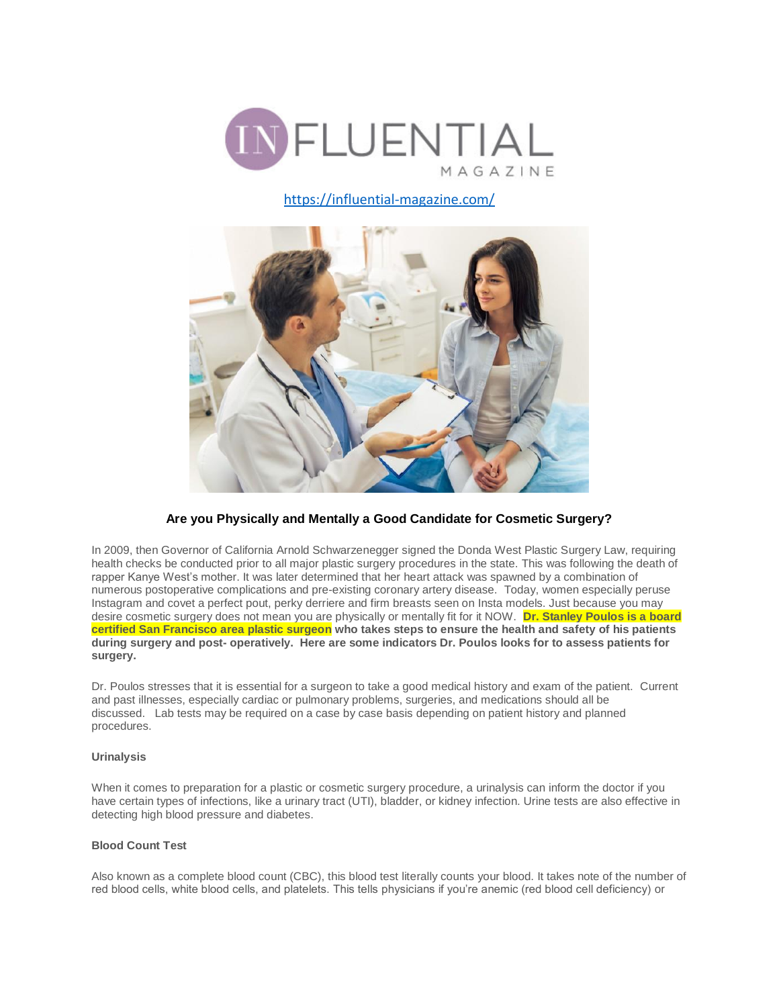

<https://influential-magazine.com/>



# **Are you Physically and Mentally a Good Candidate for Cosmetic Surgery?**

In 2009, then Governor of California Arnold Schwarzenegger signed the Donda West Plastic Surgery Law, requiring health checks be conducted prior to all major plastic surgery procedures in the state. This was following the death of rapper Kanye West's mother. It was later determined that her heart attack was spawned by a combination of numerous postoperative complications and pre-existing coronary artery disease. Today, women especially peruse Instagram and covet a perfect pout, perky derriere and firm breasts seen on Insta models. Just because you may desire cosmetic surgery does not mean you are physically or mentally fit for it NOW. **Dr. Stanley Poulos is a board certified San Francisco area plastic surgeon who takes steps to ensure the health and safety of his patients during surgery and post- operatively. Here are some indicators Dr. Poulos looks for to assess patients for surgery.**

Dr. Poulos stresses that it is essential for a surgeon to take a good medical history and exam of the patient. Current and past illnesses, especially cardiac or pulmonary problems, surgeries, and medications should all be discussed. Lab tests may be required on a case by case basis depending on patient history and planned procedures.

## **Urinalysis**

When it comes to preparation for a plastic or cosmetic surgery procedure, a urinalysis can inform the doctor if you have certain types of infections, like a urinary tract (UTI), bladder, or kidney infection. Urine tests are also effective in detecting high blood pressure and diabetes.

## **Blood Count Test**

Also known as a complete blood count (CBC), this blood test literally counts your blood. It takes note of the number of red blood cells, white blood cells, and platelets. This tells physicians if you're anemic (red blood cell deficiency) or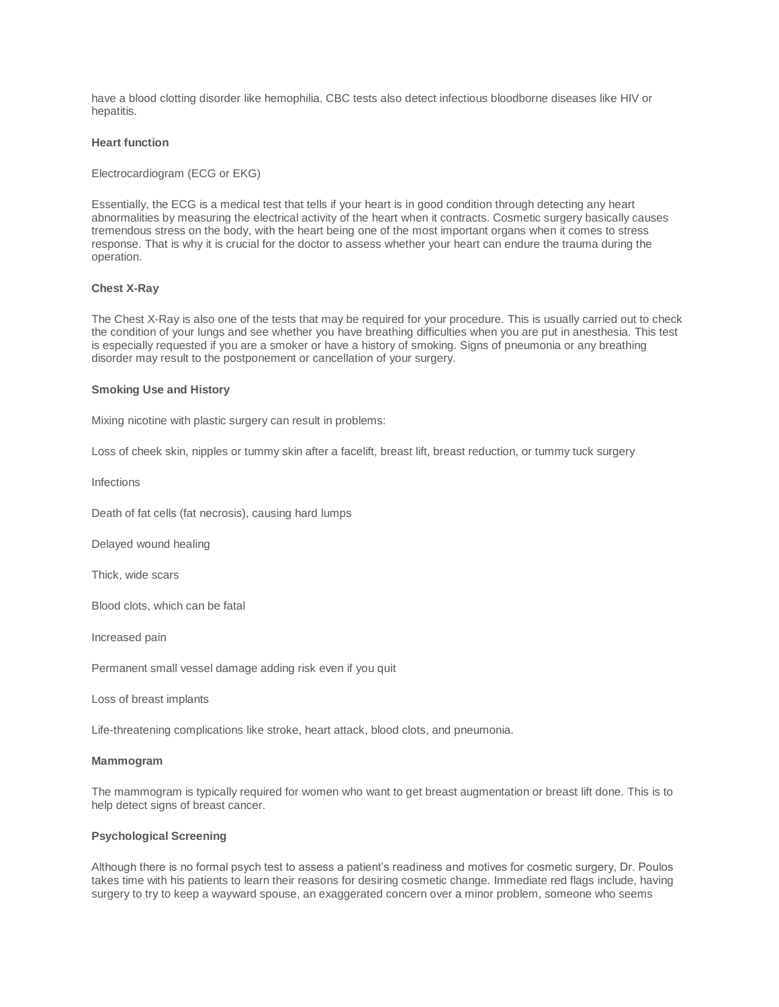have a blood clotting disorder like hemophilia. CBC tests also detect infectious bloodborne diseases like HIV or hepatitis.

## **Heart function**

Electrocardiogram (ECG or EKG)

Essentially, the ECG is a medical test that tells if your heart is in good condition through detecting any heart abnormalities by measuring the electrical activity of the heart when it contracts. Cosmetic surgery basically causes tremendous stress on the body, with the heart being one of the most important organs when it comes to stress response. That is why it is crucial for the doctor to assess whether your heart can endure the trauma during the operation.

### **Chest X-Ray**

The Chest X-Ray is also one of the tests that may be required for your procedure. This is usually carried out to check the condition of your lungs and see whether you have breathing difficulties when you are put in anesthesia. This test is especially requested if you are a smoker or have a history of smoking. Signs of pneumonia or any breathing disorder may result to the postponement or cancellation of your surgery.

#### **Smoking Use and History**

Mixing nicotine with plastic surgery can result in problems:

Loss of cheek skin, nipples or tummy skin after a facelift, breast lift, breast reduction, or tummy tuck surgery

**Infections** 

Death of fat cells (fat necrosis), causing hard lumps

Delayed wound healing

Thick, wide scars

Blood clots, which can be fatal

Increased pain

Permanent small vessel damage adding risk even if you quit

Loss of breast implants

Life-threatening complications like stroke, heart attack, blood clots, and pneumonia.

#### **Mammogram**

The mammogram is typically required for women who want to get breast augmentation or breast lift done. This is to help detect signs of breast cancer.

### **Psychological Screening**

Although there is no formal psych test to assess a patient's readiness and motives for cosmetic surgery, Dr. Poulos takes time with his patients to learn their reasons for desiring cosmetic change. Immediate red flags include, having surgery to try to keep a wayward spouse, an exaggerated concern over a minor problem, someone who seems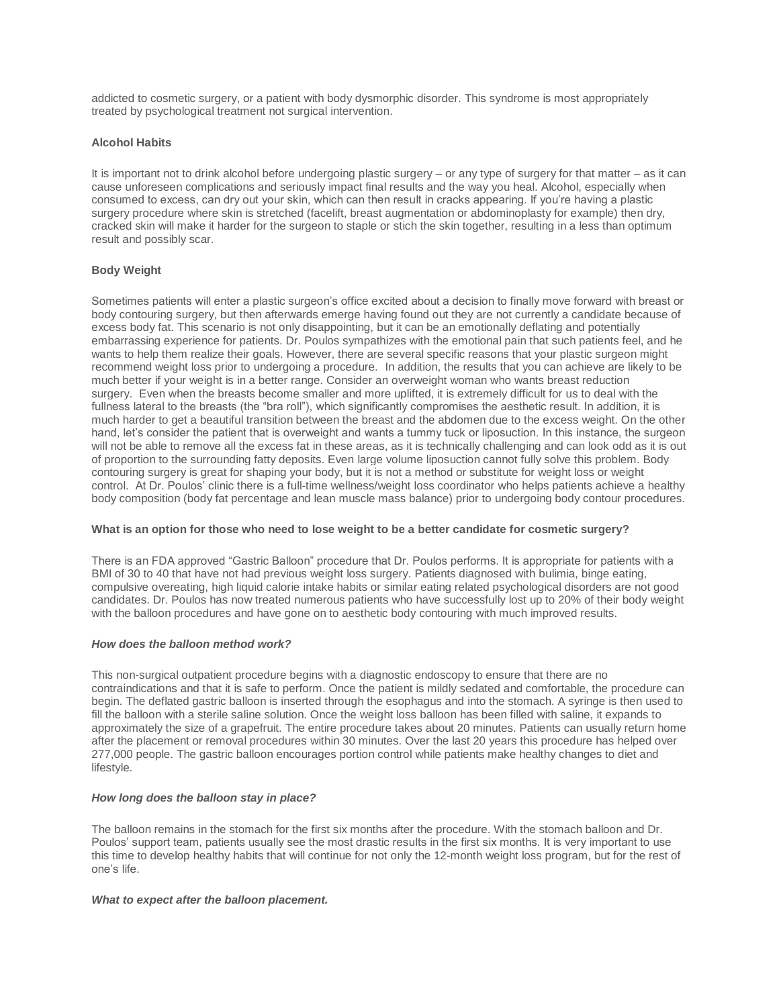addicted to cosmetic surgery, or a patient with body dysmorphic disorder. This syndrome is most appropriately treated by psychological treatment not surgical intervention.

## **Alcohol Habits**

It is important not to drink alcohol before undergoing plastic surgery – or any type of surgery for that matter – as it can cause unforeseen complications and seriously impact final results and the way you heal. Alcohol, especially when consumed to excess, can dry out your skin, which can then result in cracks appearing. If you're having a plastic surgery procedure where skin is stretched (facelift, breast augmentation or abdominoplasty for example) then dry, cracked skin will make it harder for the surgeon to staple or stich the skin together, resulting in a less than optimum result and possibly scar.

## **Body Weight**

Sometimes patients will enter a plastic surgeon's office excited about a decision to finally move forward with breast or body contouring surgery, but then afterwards emerge having found out they are not currently a candidate because of excess body fat. This scenario is not only disappointing, but it can be an emotionally deflating and potentially embarrassing experience for patients. Dr. Poulos sympathizes with the emotional pain that such patients feel, and he wants to help them realize their goals. However, there are several specific reasons that your plastic surgeon might recommend weight loss prior to undergoing a procedure. In addition, the results that you can achieve are likely to be much better if your weight is in a better range. Consider an overweight woman who wants breast reduction surgery. Even when the breasts become smaller and more uplifted, it is extremely difficult for us to deal with the fullness lateral to the breasts (the "bra roll"), which significantly compromises the aesthetic result. In addition, it is much harder to get a beautiful transition between the breast and the abdomen due to the excess weight. On the other hand, let's consider the patient that is overweight and wants a tummy tuck or liposuction. In this instance, the surgeon will not be able to remove all the excess fat in these areas, as it is technically challenging and can look odd as it is out of proportion to the surrounding fatty deposits. Even large volume liposuction cannot fully solve this problem. Body contouring surgery is great for shaping your body, but it is not a method or substitute for weight loss or weight control. At Dr. Poulos' clinic there is a full-time wellness/weight loss coordinator who helps patients achieve a healthy body composition (body fat percentage and lean muscle mass balance) prior to undergoing body contour procedures.

#### **What is an option for those who need to lose weight to be a better candidate for cosmetic surgery?**

There is an FDA approved "Gastric Balloon" procedure that Dr. Poulos performs. It is appropriate for patients with a BMI of 30 to 40 that have not had previous weight loss surgery. Patients diagnosed with bulimia, binge eating, compulsive overeating, high liquid calorie intake habits or similar eating related psychological disorders are not good candidates. Dr. Poulos has now treated numerous patients who have successfully lost up to 20% of their body weight with the balloon procedures and have gone on to aesthetic body contouring with much improved results.

#### *How does the balloon method work?*

This non-surgical outpatient procedure begins with a diagnostic endoscopy to ensure that there are no contraindications and that it is safe to perform. Once the patient is mildly sedated and comfortable, the procedure can begin. The deflated gastric balloon is inserted through the esophagus and into the stomach. A syringe is then used to fill the balloon with a sterile saline solution. Once the weight loss balloon has been filled with saline, it expands to approximately the size of a grapefruit. The entire procedure takes about 20 minutes. Patients can usually return home after the placement or removal procedures within 30 minutes. Over the last 20 years this procedure has helped over 277,000 people. The gastric balloon encourages portion control while patients make healthy changes to diet and lifestyle.

#### *How long does the balloon stay in place?*

The balloon remains in the stomach for the first six months after the procedure. With the stomach balloon and Dr. Poulos' support team, patients usually see the most drastic results in the first six months. It is very important to use this time to develop healthy habits that will continue for not only the 12-month weight loss program, but for the rest of one's life.

#### *What to expect after the balloon placement.*